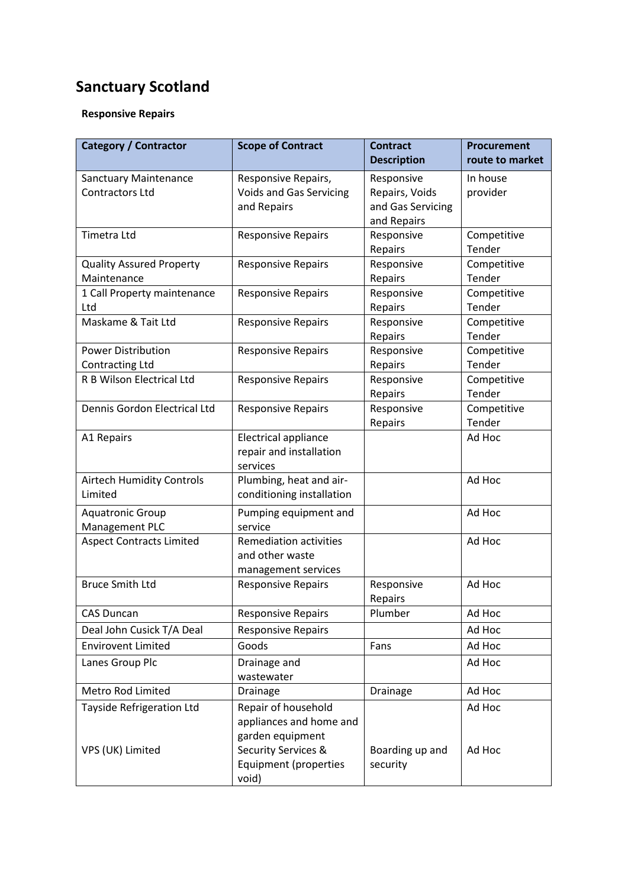## **Sanctuary Scotland**

## **Responsive Repairs**

| <b>Category / Contractor</b>                           | <b>Scope of Contract</b>                                                                             | <b>Contract</b><br><b>Description</b>                            | <b>Procurement</b><br>route to market |
|--------------------------------------------------------|------------------------------------------------------------------------------------------------------|------------------------------------------------------------------|---------------------------------------|
| <b>Sanctuary Maintenance</b><br><b>Contractors Ltd</b> | Responsive Repairs,<br><b>Voids and Gas Servicing</b><br>and Repairs                                 | Responsive<br>Repairs, Voids<br>and Gas Servicing<br>and Repairs | In house<br>provider                  |
| <b>Timetra Ltd</b>                                     | <b>Responsive Repairs</b>                                                                            | Responsive<br>Repairs                                            | Competitive<br>Tender                 |
| <b>Quality Assured Property</b><br>Maintenance         | <b>Responsive Repairs</b>                                                                            | Responsive<br>Repairs                                            | Competitive<br>Tender                 |
| 1 Call Property maintenance<br>Ltd                     | <b>Responsive Repairs</b>                                                                            | Responsive<br>Repairs                                            | Competitive<br>Tender                 |
| Maskame & Tait Ltd                                     | <b>Responsive Repairs</b>                                                                            | Responsive<br>Repairs                                            | Competitive<br>Tender                 |
| <b>Power Distribution</b><br>Contracting Ltd           | <b>Responsive Repairs</b>                                                                            | Responsive<br>Repairs                                            | Competitive<br>Tender                 |
| R B Wilson Electrical Ltd                              | <b>Responsive Repairs</b>                                                                            | Responsive<br>Repairs                                            | Competitive<br>Tender                 |
| Dennis Gordon Electrical Ltd                           | <b>Responsive Repairs</b>                                                                            | Responsive<br>Repairs                                            | Competitive<br>Tender                 |
| A1 Repairs                                             | Electrical appliance<br>repair and installation<br>services                                          |                                                                  | Ad Hoc                                |
| <b>Airtech Humidity Controls</b><br>Limited            | Plumbing, heat and air-<br>conditioning installation                                                 |                                                                  | Ad Hoc                                |
| <b>Aquatronic Group</b><br>Management PLC              | Pumping equipment and<br>service                                                                     |                                                                  | Ad Hoc                                |
| <b>Aspect Contracts Limited</b>                        | <b>Remediation activities</b><br>and other waste<br>management services                              |                                                                  | Ad Hoc                                |
| <b>Bruce Smith Ltd</b>                                 | <b>Responsive Repairs</b>                                                                            | Responsive<br>Repairs                                            | Ad Hoc                                |
| <b>CAS Duncan</b>                                      | <b>Responsive Repairs</b>                                                                            | Plumber                                                          | Ad Hoc                                |
| Deal John Cusick T/A Deal                              | <b>Responsive Repairs</b>                                                                            |                                                                  | Ad Hoc                                |
| <b>Envirovent Limited</b>                              | Goods                                                                                                | Fans                                                             | Ad Hoc                                |
| Lanes Group Plc                                        | Drainage and<br>wastewater                                                                           |                                                                  | Ad Hoc                                |
| Metro Rod Limited                                      | Drainage                                                                                             | Drainage                                                         | Ad Hoc                                |
| <b>Tayside Refrigeration Ltd</b><br>VPS (UK) Limited   | Repair of household<br>appliances and home and<br>garden equipment<br><b>Security Services &amp;</b> | Boarding up and                                                  | Ad Hoc<br>Ad Hoc                      |
|                                                        | Equipment (properties<br>void)                                                                       | security                                                         |                                       |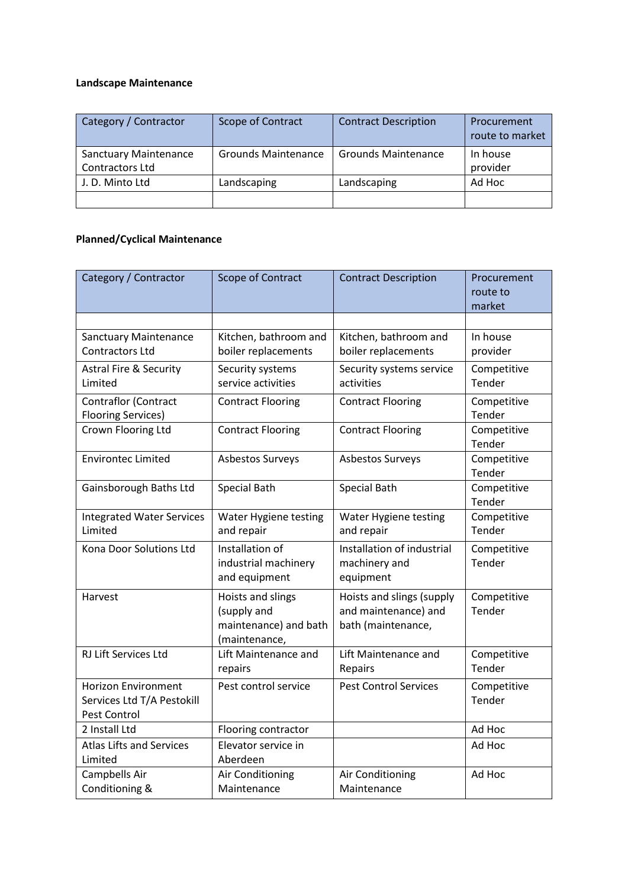## **Landscape Maintenance**

| Category / Contractor                           | Scope of Contract          | <b>Contract Description</b> | Procurement<br>route to market |
|-------------------------------------------------|----------------------------|-----------------------------|--------------------------------|
| <b>Sanctuary Maintenance</b><br>Contractors Ltd | <b>Grounds Maintenance</b> | <b>Grounds Maintenance</b>  | In house<br>provider           |
| J. D. Minto Ltd                                 | Landscaping                | Landscaping                 | Ad Hoc                         |
|                                                 |                            |                             |                                |

## **Planned/Cyclical Maintenance**

| Category / Contractor                                                    | Scope of Contract                                                          | <b>Contract Description</b>                                             | Procurement<br>route to<br>market |
|--------------------------------------------------------------------------|----------------------------------------------------------------------------|-------------------------------------------------------------------------|-----------------------------------|
|                                                                          |                                                                            |                                                                         |                                   |
| <b>Sanctuary Maintenance</b><br><b>Contractors Ltd</b>                   | Kitchen, bathroom and<br>boiler replacements                               | Kitchen, bathroom and<br>boiler replacements                            | In house<br>provider              |
| <b>Astral Fire &amp; Security</b><br>Limited                             | Security systems<br>service activities                                     | Security systems service<br>activities                                  | Competitive<br>Tender             |
| Contraflor (Contract<br><b>Flooring Services)</b>                        | <b>Contract Flooring</b>                                                   | <b>Contract Flooring</b>                                                | Competitive<br>Tender             |
| Crown Flooring Ltd                                                       | <b>Contract Flooring</b>                                                   | <b>Contract Flooring</b>                                                | Competitive<br>Tender             |
| <b>Environtec Limited</b>                                                | Asbestos Surveys                                                           | Asbestos Surveys                                                        | Competitive<br>Tender             |
| Gainsborough Baths Ltd                                                   | <b>Special Bath</b>                                                        | Special Bath                                                            | Competitive<br>Tender             |
| <b>Integrated Water Services</b><br>Limited                              | Water Hygiene testing<br>and repair                                        | Water Hygiene testing<br>and repair                                     | Competitive<br>Tender             |
| Kona Door Solutions Ltd                                                  | Installation of<br>industrial machinery<br>and equipment                   | Installation of industrial<br>machinery and<br>equipment                | Competitive<br>Tender             |
| Harvest                                                                  | Hoists and slings<br>(supply and<br>maintenance) and bath<br>(maintenance, | Hoists and slings (supply<br>and maintenance) and<br>bath (maintenance, | Competitive<br>Tender             |
| <b>RJ Lift Services Ltd</b>                                              | Lift Maintenance and<br>repairs                                            | Lift Maintenance and<br>Repairs                                         | Competitive<br>Tender             |
| <b>Horizon Environment</b><br>Services Ltd T/A Pestokill<br>Pest Control | Pest control service                                                       | <b>Pest Control Services</b>                                            | Competitive<br>Tender             |
| 2 Install Ltd                                                            | Flooring contractor                                                        |                                                                         | Ad Hoc                            |
| <b>Atlas Lifts and Services</b><br>Limited                               | Elevator service in<br>Aberdeen                                            |                                                                         | Ad Hoc                            |
| Campbells Air<br>Conditioning &                                          | Air Conditioning<br>Maintenance                                            | Air Conditioning<br>Maintenance                                         | Ad Hoc                            |